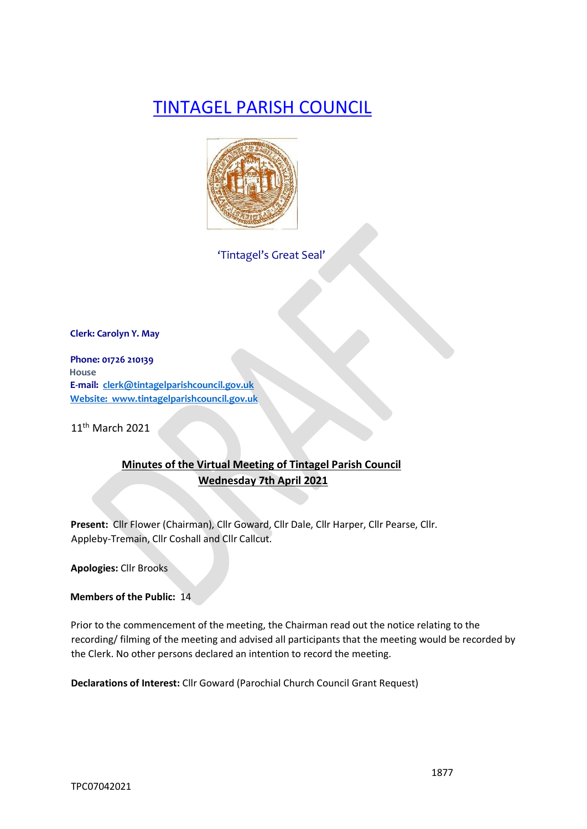# TINTAGEL PARISH COUNCIL



'Tintagel's Great Seal'

**Clerk: Carolyn Y. May** 

**Phone: 01726 210139 House E-mail: clerk@tintagelparishcouncil.gov.uk Website: www.tintagelparishcouncil.gov.uk** 

11th March 2021

## **Minutes of the Virtual Meeting of Tintagel Parish Council Wednesday 7th April 2021**

**Present:** Cllr Flower (Chairman), Cllr Goward, Cllr Dale, Cllr Harper, Cllr Pearse, Cllr. Appleby-Tremain, Cllr Coshall and Cllr Callcut.

**Apologies:** Cllr Brooks

**Members of the Public:** 14

Prior to the commencement of the meeting, the Chairman read out the notice relating to the recording/ filming of the meeting and advised all participants that the meeting would be recorded by the Clerk. No other persons declared an intention to record the meeting.

**Declarations of Interest:** Cllr Goward (Parochial Church Council Grant Request)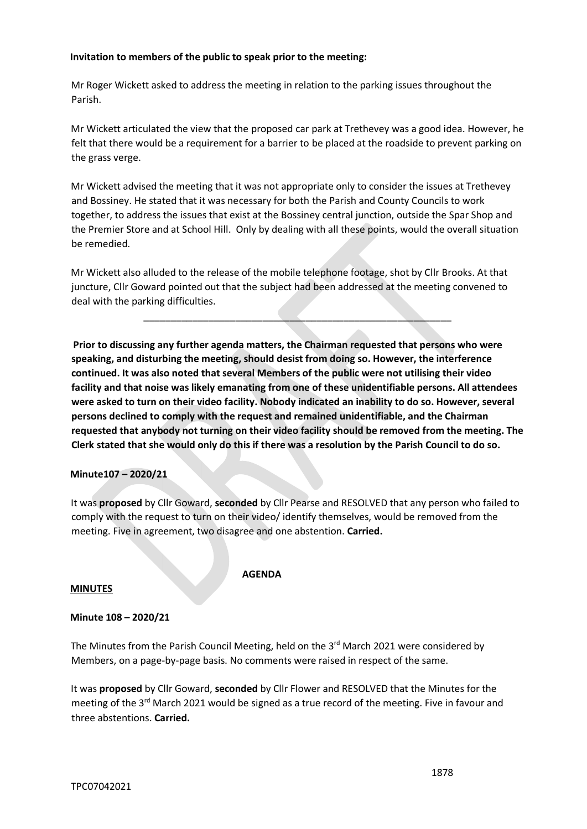## **Invitation to members of the public to speak prior to the meeting:**

Mr Roger Wickett asked to address the meeting in relation to the parking issues throughout the Parish.

Mr Wickett articulated the view that the proposed car park at Trethevey was a good idea. However, he felt that there would be a requirement for a barrier to be placed at the roadside to prevent parking on the grass verge.

Mr Wickett advised the meeting that it was not appropriate only to consider the issues at Trethevey and Bossiney. He stated that it was necessary for both the Parish and County Councils to work together, to address the issues that exist at the Bossiney central junction, outside the Spar Shop and the Premier Store and at School Hill. Only by dealing with all these points, would the overall situation be remedied.

Mr Wickett also alluded to the release of the mobile telephone footage, shot by Cllr Brooks. At that juncture, Cllr Goward pointed out that the subject had been addressed at the meeting convened to deal with the parking difficulties.

\_\_\_\_\_\_\_\_\_\_\_\_\_\_\_\_\_\_\_\_\_\_\_\_\_\_\_\_\_\_\_\_\_\_\_\_\_\_\_\_\_\_\_\_\_\_\_\_\_\_\_\_\_\_\_\_\_

**Prior to discussing any further agenda matters, the Chairman requested that persons who were speaking, and disturbing the meeting, should desist from doing so. However, the interference continued. It was also noted that several Members of the public were not utilising their video facility and that noise was likely emanating from one of these unidentifiable persons. All attendees were asked to turn on their video facility. Nobody indicated an inability to do so. However, several persons declined to comply with the request and remained unidentifiable, and the Chairman requested that anybody not turning on their video facility should be removed from the meeting. The Clerk stated that she would only do this if there was a resolution by the Parish Council to do so.**

#### **Minute107 – 2020/21**

It was **proposed** by Cllr Goward, **seconded** by Cllr Pearse and RESOLVED that any person who failed to comply with the request to turn on their video/ identify themselves, would be removed from the meeting. Five in agreement, two disagree and one abstention. **Carried.**

#### **MINUTES**

#### **AGENDA**

## **Minute 108 – 2020/21**

The Minutes from the Parish Council Meeting, held on the  $3<sup>rd</sup>$  March 2021 were considered by Members, on a page-by-page basis. No comments were raised in respect of the same.

It was **proposed** by Cllr Goward, **seconded** by Cllr Flower and RESOLVED that the Minutes for the meeting of the 3<sup>rd</sup> March 2021 would be signed as a true record of the meeting. Five in favour and three abstentions. **Carried.**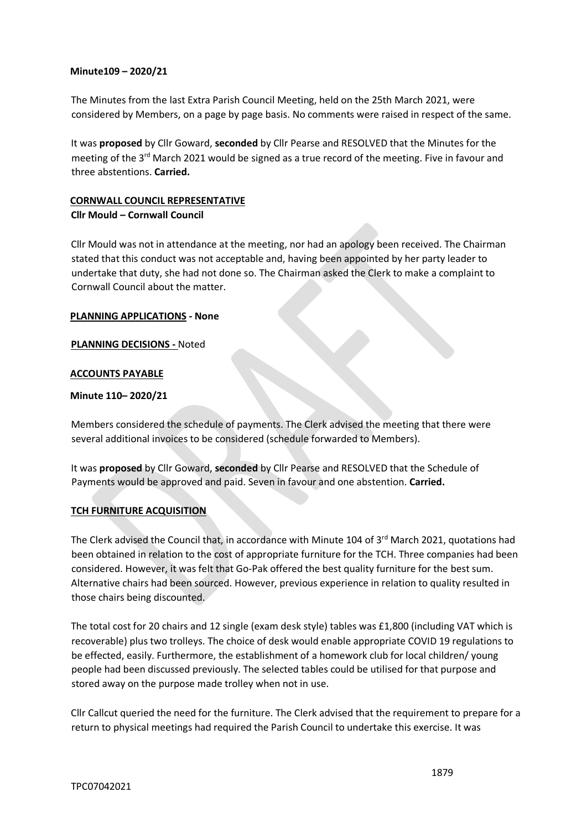## **Minute109 – 2020/21**

The Minutes from the last Extra Parish Council Meeting, held on the 25th March 2021, were considered by Members, on a page by page basis. No comments were raised in respect of the same.

It was **proposed** by Cllr Goward, **seconded** by Cllr Pearse and RESOLVED that the Minutes for the meeting of the 3<sup>rd</sup> March 2021 would be signed as a true record of the meeting. Five in favour and three abstentions. **Carried.**

## **CORNWALL COUNCIL REPRESENTATIVE**

## **Cllr Mould – Cornwall Council**

Cllr Mould was not in attendance at the meeting, nor had an apology been received. The Chairman stated that this conduct was not acceptable and, having been appointed by her party leader to undertake that duty, she had not done so. The Chairman asked the Clerk to make a complaint to Cornwall Council about the matter.

## **PLANNING APPLICATIONS - None**

## **PLANNING DECISIONS -** Noted

## **ACCOUNTS PAYABLE**

## **Minute 110– 2020/21**

Members considered the schedule of payments. The Clerk advised the meeting that there were several additional invoices to be considered (schedule forwarded to Members).

It was **proposed** by Cllr Goward, **seconded** by Cllr Pearse and RESOLVED that the Schedule of Payments would be approved and paid. Seven in favour and one abstention. **Carried.**

## **TCH FURNITURE ACQUISITION**

The Clerk advised the Council that, in accordance with Minute 104 of 3<sup>rd</sup> March 2021, quotations had been obtained in relation to the cost of appropriate furniture for the TCH. Three companies had been considered. However, it was felt that Go-Pak offered the best quality furniture for the best sum. Alternative chairs had been sourced. However, previous experience in relation to quality resulted in those chairs being discounted.

The total cost for 20 chairs and 12 single (exam desk style) tables was £1,800 (including VAT which is recoverable) plus two trolleys. The choice of desk would enable appropriate COVID 19 regulations to be effected, easily. Furthermore, the establishment of a homework club for local children/ young people had been discussed previously. The selected tables could be utilised for that purpose and stored away on the purpose made trolley when not in use.

Cllr Callcut queried the need for the furniture. The Clerk advised that the requirement to prepare for a return to physical meetings had required the Parish Council to undertake this exercise. It was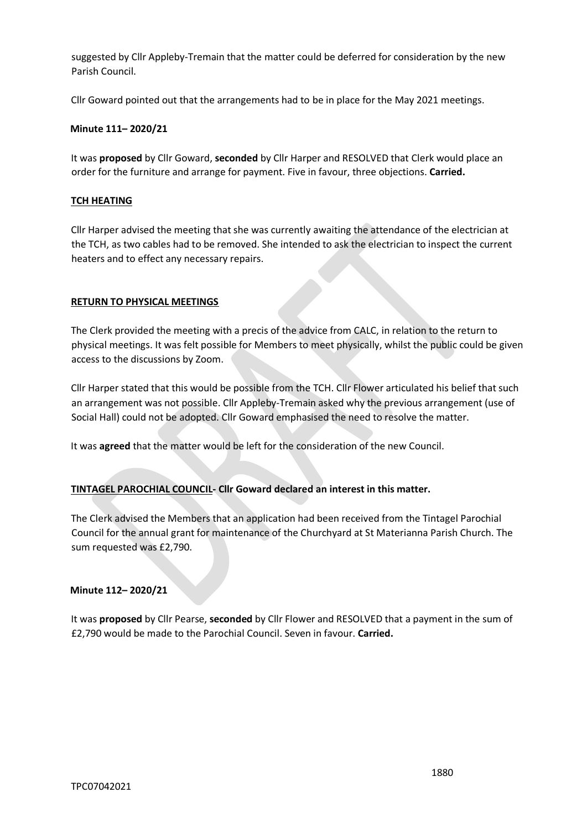suggested by Cllr Appleby-Tremain that the matter could be deferred for consideration by the new Parish Council.

Cllr Goward pointed out that the arrangements had to be in place for the May 2021 meetings.

## **Minute 111– 2020/21**

It was **proposed** by Cllr Goward, **seconded** by Cllr Harper and RESOLVED that Clerk would place an order for the furniture and arrange for payment. Five in favour, three objections. **Carried.**

## **TCH HEATING**

Cllr Harper advised the meeting that she was currently awaiting the attendance of the electrician at the TCH, as two cables had to be removed. She intended to ask the electrician to inspect the current heaters and to effect any necessary repairs.

#### **RETURN TO PHYSICAL MEETINGS**

The Clerk provided the meeting with a precis of the advice from CALC, in relation to the return to physical meetings. It was felt possible for Members to meet physically, whilst the public could be given access to the discussions by Zoom.

Cllr Harper stated that this would be possible from the TCH. Cllr Flower articulated his belief that such an arrangement was not possible. Cllr Appleby-Tremain asked why the previous arrangement (use of Social Hall) could not be adopted. Cllr Goward emphasised the need to resolve the matter.

It was **agreed** that the matter would be left for the consideration of the new Council.

## **TINTAGEL PAROCHIAL COUNCIL- Cllr Goward declared an interest in this matter.**

The Clerk advised the Members that an application had been received from the Tintagel Parochial Council for the annual grant for maintenance of the Churchyard at St Materianna Parish Church. The sum requested was £2,790.

#### **Minute 112– 2020/21**

It was **proposed** by Cllr Pearse, **seconded** by Cllr Flower and RESOLVED that a payment in the sum of £2,790 would be made to the Parochial Council. Seven in favour. **Carried.**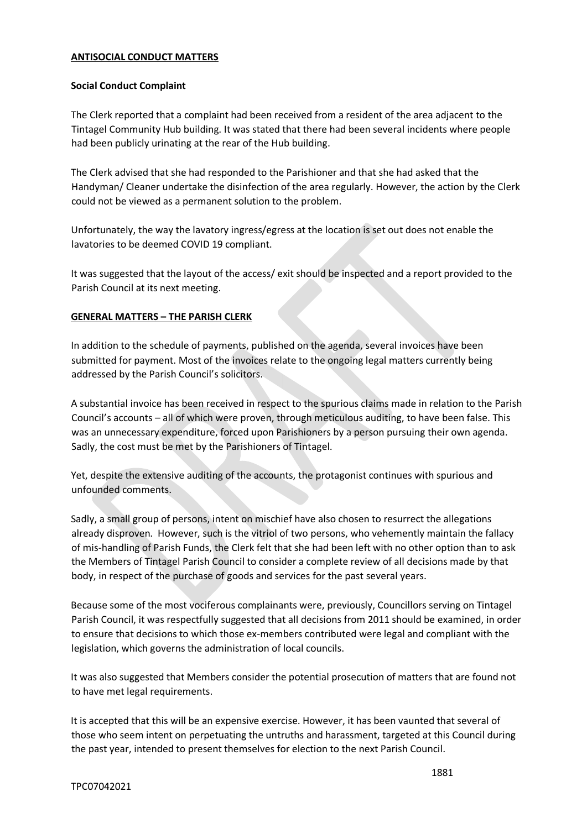## **ANTISOCIAL CONDUCT MATTERS**

#### **Social Conduct Complaint**

The Clerk reported that a complaint had been received from a resident of the area adjacent to the Tintagel Community Hub building. It was stated that there had been several incidents where people had been publicly urinating at the rear of the Hub building.

The Clerk advised that she had responded to the Parishioner and that she had asked that the Handyman/ Cleaner undertake the disinfection of the area regularly. However, the action by the Clerk could not be viewed as a permanent solution to the problem.

Unfortunately, the way the lavatory ingress/egress at the location is set out does not enable the lavatories to be deemed COVID 19 compliant.

It was suggested that the layout of the access/ exit should be inspected and a report provided to the Parish Council at its next meeting.

#### **GENERAL MATTERS – THE PARISH CLERK**

In addition to the schedule of payments, published on the agenda, several invoices have been submitted for payment. Most of the invoices relate to the ongoing legal matters currently being addressed by the Parish Council's solicitors.

A substantial invoice has been received in respect to the spurious claims made in relation to the Parish Council's accounts – all of which were proven, through meticulous auditing, to have been false. This was an unnecessary expenditure, forced upon Parishioners by a person pursuing their own agenda. Sadly, the cost must be met by the Parishioners of Tintagel.

Yet, despite the extensive auditing of the accounts, the protagonist continues with spurious and unfounded comments.

Sadly, a small group of persons, intent on mischief have also chosen to resurrect the allegations already disproven. However, such is the vitriol of two persons, who vehemently maintain the fallacy of mis-handling of Parish Funds, the Clerk felt that she had been left with no other option than to ask the Members of Tintagel Parish Council to consider a complete review of all decisions made by that body, in respect of the purchase of goods and services for the past several years.

Because some of the most vociferous complainants were, previously, Councillors serving on Tintagel Parish Council, it was respectfully suggested that all decisions from 2011 should be examined, in order to ensure that decisions to which those ex-members contributed were legal and compliant with the legislation, which governs the administration of local councils.

It was also suggested that Members consider the potential prosecution of matters that are found not to have met legal requirements.

It is accepted that this will be an expensive exercise. However, it has been vaunted that several of those who seem intent on perpetuating the untruths and harassment, targeted at this Council during the past year, intended to present themselves for election to the next Parish Council.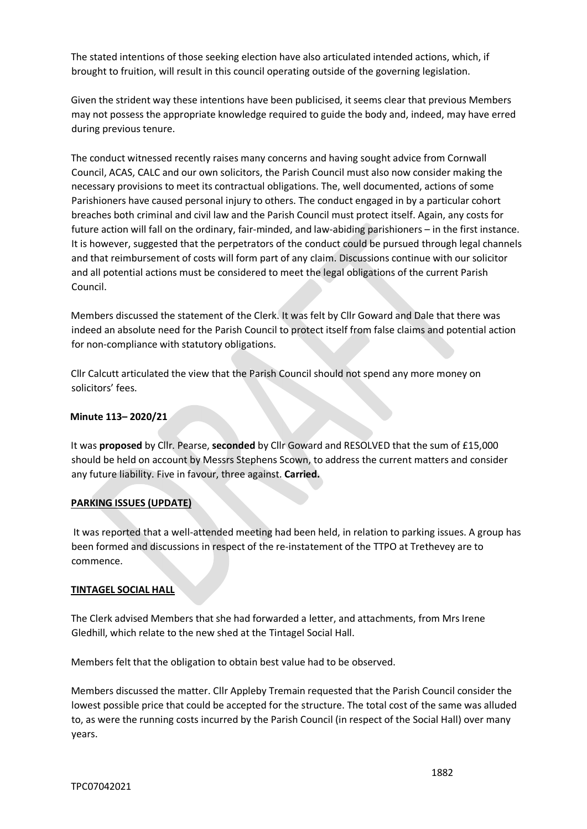The stated intentions of those seeking election have also articulated intended actions, which, if brought to fruition, will result in this council operating outside of the governing legislation.

Given the strident way these intentions have been publicised, it seems clear that previous Members may not possess the appropriate knowledge required to guide the body and, indeed, may have erred during previous tenure.

The conduct witnessed recently raises many concerns and having sought advice from Cornwall Council, ACAS, CALC and our own solicitors, the Parish Council must also now consider making the necessary provisions to meet its contractual obligations. The, well documented, actions of some Parishioners have caused personal injury to others. The conduct engaged in by a particular cohort breaches both criminal and civil law and the Parish Council must protect itself. Again, any costs for future action will fall on the ordinary, fair-minded, and law-abiding parishioners – in the first instance. It is however, suggested that the perpetrators of the conduct could be pursued through legal channels and that reimbursement of costs will form part of any claim. Discussions continue with our solicitor and all potential actions must be considered to meet the legal obligations of the current Parish Council.

Members discussed the statement of the Clerk. It was felt by Cllr Goward and Dale that there was indeed an absolute need for the Parish Council to protect itself from false claims and potential action for non-compliance with statutory obligations.

Cllr Calcutt articulated the view that the Parish Council should not spend any more money on solicitors' fees.

## **Minute 113– 2020/21**

It was **proposed** by Cllr. Pearse, **seconded** by Cllr Goward and RESOLVED that the sum of £15,000 should be held on account by Messrs Stephens Scown, to address the current matters and consider any future liability. Five in favour, three against. **Carried.**

## **PARKING ISSUES (UPDATE)**

It was reported that a well-attended meeting had been held, in relation to parking issues. A group has been formed and discussions in respect of the re-instatement of the TTPO at Trethevey are to commence.

## **TINTAGEL SOCIAL HALL**

The Clerk advised Members that she had forwarded a letter, and attachments, from Mrs Irene Gledhill, which relate to the new shed at the Tintagel Social Hall.

Members felt that the obligation to obtain best value had to be observed.

Members discussed the matter. Cllr Appleby Tremain requested that the Parish Council consider the lowest possible price that could be accepted for the structure. The total cost of the same was alluded to, as were the running costs incurred by the Parish Council (in respect of the Social Hall) over many years.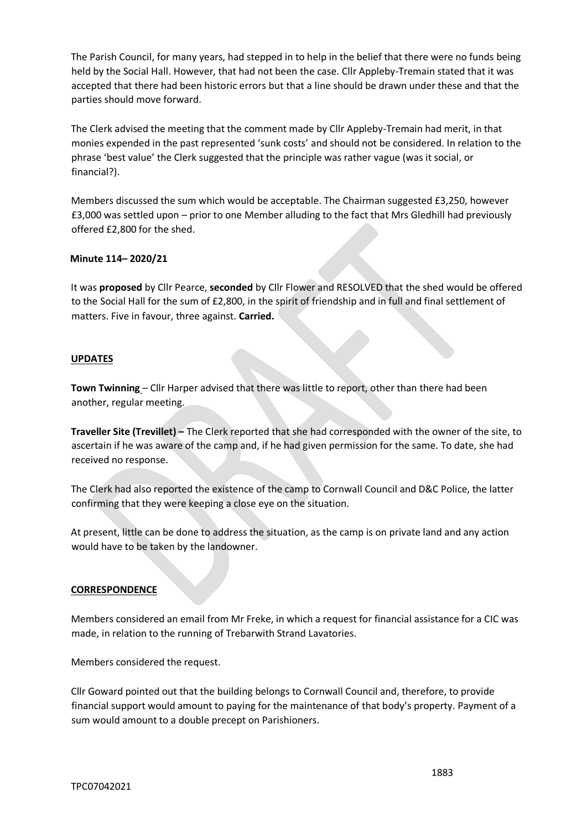The Parish Council, for many years, had stepped in to help in the belief that there were no funds being held by the Social Hall. However, that had not been the case. Cllr Appleby-Tremain stated that it was accepted that there had been historic errors but that a line should be drawn under these and that the parties should move forward.

The Clerk advised the meeting that the comment made by Cllr Appleby-Tremain had merit, in that monies expended in the past represented 'sunk costs' and should not be considered. In relation to the phrase 'best value' the Clerk suggested that the principle was rather vague (was it social, or financial?).

Members discussed the sum which would be acceptable. The Chairman suggested £3,250, however £3,000 was settled upon – prior to one Member alluding to the fact that Mrs Gledhill had previously offered £2,800 for the shed.

## **Minute 114– 2020/21**

It was **proposed** by Cllr Pearce, **seconded** by Cllr Flower and RESOLVED that the shed would be offered to the Social Hall for the sum of £2,800, in the spirit of friendship and in full and final settlement of matters. Five in favour, three against. **Carried.**

## **UPDATES**

**Town Twinning** – Cllr Harper advised that there was little to report, other than there had been another, regular meeting.

**Traveller Site (Trevillet) –** The Clerk reported that she had corresponded with the owner of the site, to ascertain if he was aware of the camp and, if he had given permission for the same. To date, she had received no response.

The Clerk had also reported the existence of the camp to Cornwall Council and D&C Police, the latter confirming that they were keeping a close eye on the situation.

At present, little can be done to address the situation, as the camp is on private land and any action would have to be taken by the landowner.

## **CORRESPONDENCE**

Members considered an email from Mr Freke, in which a request for financial assistance for a CIC was made, in relation to the running of Trebarwith Strand Lavatories.

Members considered the request.

Cllr Goward pointed out that the building belongs to Cornwall Council and, therefore, to provide financial support would amount to paying for the maintenance of that body's property. Payment of a sum would amount to a double precept on Parishioners.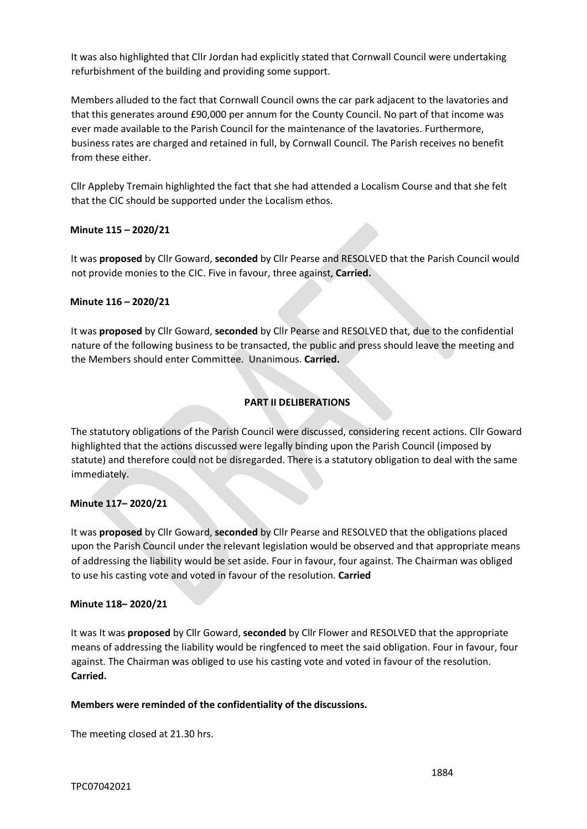It was also highlighted that Cllr Jordan had explicitly stated that Cornwall Council were undertaking refurbishment of the building and providing some support.

Members alluded to the fact that Cornwall Council owns the car park adjacent to the lavatories and that this generates around £90,000 per annum for the County Council. No part of that income was ever made available to the Parish Council for the maintenance of the lavatories. Furthermore, business rates are charged and retained in full, by Cornwall Council. The Parish receives no benefit from these either.

Cllr Appleby Tremain highlighted the fact that she had attended a Localism Course and that she felt that the CIC should be supported under the Localism ethos.

## **Minute 115 – 2020/21**

It was **proposed** by Cllr Goward, **seconded** by Cllr Pearse and RESOLVED that the Parish Council would not provide monies to the CIC. Five in favour, three against, **Carried.**

## **Minute 116 – 2020/21**

It was **proposed** by Cllr Goward, **seconded** by Cllr Pearse and RESOLVED that, due to the confidential nature of the following business to be transacted, the public and press should leave the meeting and the Members should enter Committee. Unanimous. **Carried.**

## **PART II DELIBERATIONS**

The statutory obligations of the Parish Council were discussed, considering recent actions. Cllr Goward highlighted that the actions discussed were legally binding upon the Parish Council (imposed by statute) and therefore could not be disregarded. There is a statutory obligation to deal with the same immediately.

## **Minute 117– 2020/21**

It was **proposed** by Cllr Goward, **seconded** by Cllr Pearse and RESOLVED that the obligations placed upon the Parish Council under the relevant legislation would be observed and that appropriate means of addressing the liability would be set aside. Four in favour, four against. The Chairman was obliged to use his casting vote and voted in favour of the resolution. **Carried**

## **Minute 118– 2020/21**

It was It was **proposed** by Cllr Goward, **seconded** by Cllr Flower and RESOLVED that the appropriate means of addressing the liability would be ringfenced to meet the said obligation. Four in favour, four against. The Chairman was obliged to use his casting vote and voted in favour of the resolution. **Carried.**

## **Members were reminded of the confidentiality of the discussions.**

The meeting closed at 21.30 hrs.